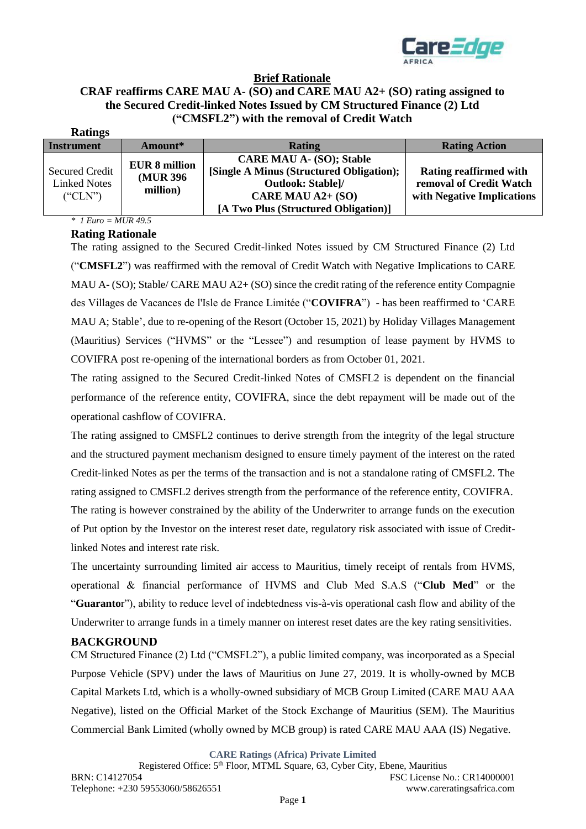

# **Brief Rationale**

#### **CRAF reaffirms CARE MAU A- (SO) and CARE MAU A2+ (SO) rating assigned to the Secured Credit-linked Notes Issued by CM Structured Finance (2) Ltd ("CMSFL2") with the removal of Credit Watch Ratings**

| Raungs                                                  |                       |                                          |                               |
|---------------------------------------------------------|-----------------------|------------------------------------------|-------------------------------|
| <b>Instrument</b>                                       | Amount*               | <b>Rating</b>                            | <b>Rating Action</b>          |
|                                                         | <b>EUR 8 million</b>  | <b>CARE MAU A- (SO); Stable</b>          |                               |
| <b>Secured Credit</b><br><b>Linked Notes</b><br>("CLN") | (MUR 396)<br>million) | [Single A Minus (Structured Obligation); | <b>Rating reaffirmed with</b> |
|                                                         |                       | <b>Outlook: Stable]/</b>                 | removal of Credit Watch       |
|                                                         |                       | CARE MAU A2+ (SO)                        | with Negative Implications    |
|                                                         |                       | [A Two Plus (Structured Obligation)]     |                               |

#### *\* 1 Euro = MUR 49.5* **Rating Rationale**

The rating assigned to the Secured Credit-linked Notes issued by CM Structured Finance (2) Ltd ("**CMSFL2**") was reaffirmed with the removal of Credit Watch with Negative Implications to CARE MAU A- (SO); Stable/ CARE MAU A2+ (SO) since the credit rating of the reference entity Compagnie des Villages de Vacances de l'Isle de France Limitée ("**COVIFRA**") - has been reaffirmed to 'CARE MAU A; Stable', due to re-opening of the Resort (October 15, 2021) by Holiday Villages Management (Mauritius) Services ("HVMS" or the "Lessee") and resumption of lease payment by HVMS to COVIFRA post re-opening of the international borders as from October 01, 2021.

The rating assigned to the Secured Credit-linked Notes of CMSFL2 is dependent on the financial performance of the reference entity, COVIFRA, since the debt repayment will be made out of the operational cashflow of COVIFRA.

The rating assigned to CMSFL2 continues to derive strength from the integrity of the legal structure and the structured payment mechanism designed to ensure timely payment of the interest on the rated Credit-linked Notes as per the terms of the transaction and is not a standalone rating of CMSFL2. The rating assigned to CMSFL2 derives strength from the performance of the reference entity, COVIFRA. The rating is however constrained by the ability of the Underwriter to arrange funds on the execution of Put option by the Investor on the interest reset date, regulatory risk associated with issue of Creditlinked Notes and interest rate risk.

The uncertainty surrounding limited air access to Mauritius, timely receipt of rentals from HVMS, operational & financial performance of HVMS and Club Med S.A.S ("**Club Med**" or the "**Guaranto**r"), ability to reduce level of indebtedness vis-à-vis operational cash flow and ability of the Underwriter to arrange funds in a timely manner on interest reset dates are the key rating sensitivities.

## **BACKGROUND**

CM Structured Finance (2) Ltd ("CMSFL2"), a public limited company, was incorporated as a Special Purpose Vehicle (SPV) under the laws of Mauritius on June 27, 2019. It is wholly-owned by MCB Capital Markets Ltd, which is a wholly-owned subsidiary of MCB Group Limited (CARE MAU AAA Negative), listed on the Official Market of the Stock Exchange of Mauritius (SEM). The Mauritius Commercial Bank Limited (wholly owned by MCB group) is rated CARE MAU AAA (IS) Negative.

**CARE Ratings (Africa) Private Limited**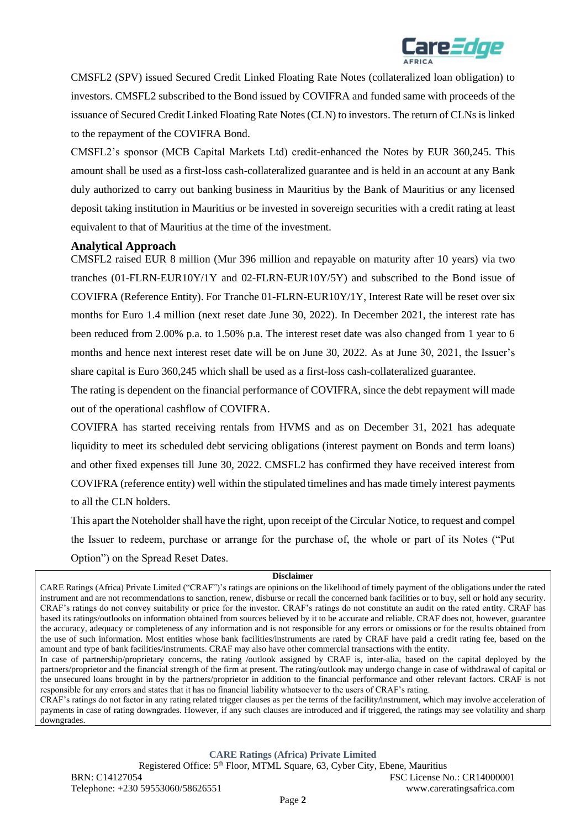

CMSFL2 (SPV) issued Secured Credit Linked Floating Rate Notes (collateralized loan obligation) to investors. CMSFL2 subscribed to the Bond issued by COVIFRA and funded same with proceeds of the issuance of Secured Credit Linked Floating Rate Notes (CLN) to investors. The return of CLNs is linked to the repayment of the COVIFRA Bond.

CMSFL2's sponsor (MCB Capital Markets Ltd) credit-enhanced the Notes by EUR 360,245. This amount shall be used as a first-loss cash-collateralized guarantee and is held in an account at any Bank duly authorized to carry out banking business in Mauritius by the Bank of Mauritius or any licensed deposit taking institution in Mauritius or be invested in sovereign securities with a credit rating at least equivalent to that of Mauritius at the time of the investment.

## **Analytical Approach**

CMSFL2 raised EUR 8 million (Mur 396 million and repayable on maturity after 10 years) via two tranches (01-FLRN-EUR10Y/1Y and 02-FLRN-EUR10Y/5Y) and subscribed to the Bond issue of COVIFRA (Reference Entity). For Tranche 01-FLRN-EUR10Y/1Y, Interest Rate will be reset over six months for Euro 1.4 million (next reset date June 30, 2022). In December 2021, the interest rate has been reduced from 2.00% p.a. to 1.50% p.a. The interest reset date was also changed from 1 year to 6 months and hence next interest reset date will be on June 30, 2022. As at June 30, 2021, the Issuer's share capital is Euro 360,245 which shall be used as a first-loss cash-collateralized guarantee.

The rating is dependent on the financial performance of COVIFRA, since the debt repayment will made out of the operational cashflow of COVIFRA.

COVIFRA has started receiving rentals from HVMS and as on December 31, 2021 has adequate liquidity to meet its scheduled debt servicing obligations (interest payment on Bonds and term loans) and other fixed expenses till June 30, 2022. CMSFL2 has confirmed they have received interest from COVIFRA (reference entity) well within the stipulated timelines and has made timely interest payments to all the CLN holders.

This apart the Noteholder shall have the right, upon receipt of the Circular Notice, to request and compel the Issuer to redeem, purchase or arrange for the purchase of, the whole or part of its Notes ("Put Option") on the Spread Reset Dates.

#### **Disclaimer**

In case of partnership/proprietary concerns, the rating /outlook assigned by CRAF is, inter-alia, based on the capital deployed by the partners/proprietor and the financial strength of the firm at present. The rating/outlook may undergo change in case of withdrawal of capital or the unsecured loans brought in by the partners/proprietor in addition to the financial performance and other relevant factors. CRAF is not responsible for any errors and states that it has no financial liability whatsoever to the users of CRAF's rating.

CRAF's ratings do not factor in any rating related trigger clauses as per the terms of the facility/instrument, which may involve acceleration of payments in case of rating downgrades. However, if any such clauses are introduced and if triggered, the ratings may see volatility and sharp downgrades.

**CARE Ratings (Africa) Private Limited**

Registered Office: 5<sup>th</sup> Floor, MTML Square, 63, Cyber City, Ebene, Mauritius BRN: C14127054 FSC License No.: CR14000001 Telephone: +230 59553060/58626551 www.careratingsafrica.com

CARE Ratings (Africa) Private Limited ("CRAF")'s ratings are opinions on the likelihood of timely payment of the obligations under the rated instrument and are not recommendations to sanction, renew, disburse or recall the concerned bank facilities or to buy, sell or hold any security. CRAF's ratings do not convey suitability or price for the investor. CRAF's ratings do not constitute an audit on the rated entity. CRAF has based its ratings/outlooks on information obtained from sources believed by it to be accurate and reliable. CRAF does not, however, guarantee the accuracy, adequacy or completeness of any information and is not responsible for any errors or omissions or for the results obtained from the use of such information. Most entities whose bank facilities/instruments are rated by CRAF have paid a credit rating fee, based on the amount and type of bank facilities/instruments. CRAF may also have other commercial transactions with the entity.